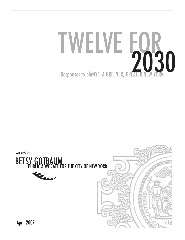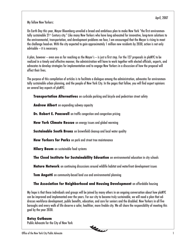My fellow New Yorkers:

On Earth Day this year, Mayor Bloomberg unveiled a broad and ambitious plan to make New York "the first environmentally sustainable 21<sup>st</sup> Century city." Like many New Yorkers who have long advocated for innovative, long-term solutions to the environmental, transportation, and development problems we face, I am encouraged that the Mayor is rising to meet the challenge head-on. With the city expected to gain approximately 1 million new residents by 2030, action is not only advisable — it is necessary.

A plan, however — even one as far reaching as the Mayor's — is just a first step. For the 127 proposals in plaNYC to be realized in a timely and effective manner, the administration will have to work together with elected officials, experts, and advocates to develop strategies for implementation and to engage New Yorkers in a discussion of how the proposal will affect their lives.

The purpose of this compilation of articles is to facilitate a dialogue among the administration, advocates for environmentally sustainable urban planning, and the people of New York City. In the pages that follow, you will find expert opinions on several key aspects of plaNYC:

 **Transportation Alternatives** on curbside parking and bicycle and pedestrian street safety

 **Andrew Albert** on expanding subway capacity

**Dr. Robert E. Paaswell** on traffic congestion and congestion pricing

 **New York Climate Rescue** on energy issues and global warming

**Sustainable South Bronx** on brownfield cleanup and local water quality

 **New Yorkers for Parks** on park and street tree maintenance

 **Hilary Baum** on sustainable food systems

 **The Cloud Institute for Sustainability Education** on environmental education in city schools

 **Nature Network** on continuing discussions around wildlife habitat and waterfront development issues

**Tom Angotti** on community-based land use and environmental planning

 **The Association for Neighborhood and Housing Development** on affordable housing

My hope is that these individuals and groups will be joined by many others in an ongoing conversation about how plaNYC can be improved and implemented over the years. For our city to become truly sustainable, we will need a plan that addresses workforce development, public benefits, education, and care for seniors and the disabled. New Yorkers in all five boroughs and every walk of life deserve a safer, healthier, more livable city. We all share the responsibility of meeting this goal by the year 2030.

### **Betsy Gotbaum**

Public Advocate for the City of New York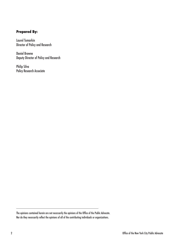### **Prepared By:**

Laurel Tumarkin Director of Policy and Research

Daniel Browne Deputy Director of Policy and Research

Philip Silva Policy Research Associate

The opinions contained herein are not necessarily the opinions of the Office of the Public Advocate. Nor do they necessarily reflect the opinions of all of the contributing individuals or organizations.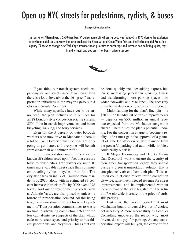# Open up NYC streets for pedestrians, cyclists, & buses

Transportation Alternatives

Transportation Alternatives, a 5500-member, NYC-area non-profit citizens group, was founded in 1973 during the explosion of environmental consciousness that also produced the Clean Air and Clean Water Acts and the Environmental Protection Agency. TA seeks to change New York City's transportation priorities to encourage and increase non-polluting, quiet, cityfriendly travel and decrese — not ban — private car use.



 If you think our transit system needs expanding or our streets need fewer cars, then there is a lot to love about the 16 "green" transportation initiatives in the mayor's *plaNYC: A Greener, Greater New York.* 

 While many specifics have yet to be announced, the plan includes solid outlines for an \$8 London-style congestion pricing system; \$50 billion in transit improvements; and better bicycling, walking, and ferry services.

 Even for the 5 percent of outer-borough workers who now drive to Manhattan, there is a lot to like. Drivers' transit options are only going to get better, and everyone will benefit from cleaner air and thinner traffic.

 In the transportation world, it is a widely known (if seldom acted upon) fact that cars are toxic to dense cities. Car drivers consume 10 times more valuable street space than commuters traveling by bus, bicycles, or on foot. The city also faces an influx of 1 million more residents by 2030, along with an estimated 83 percent increase in truck traffic by 2020 over 1998 levels. And major development projects, such as Atlantic Yards, are also poised to unleash a torrent of transportation demand. All this being true, the mayor should instruct his new Department of Transportation commissioner to waste no time in advancing completion dates for the less capital-intensive aspects of the plan, which cede more street space and priority to bus riders, pedestrians, and bicyclists. Things that can be done quickly include: adding express bus lanes; increasing pedestrian crossing times; and transforming more parking spaces into wider sidewalks and bike lanes. The necessity of carbon reduction only adds to this urgency.

Major funding for the plan's linchpin  $-$  a \$50 billion laundry list of transit improvements — depends on \$500 million in annual revenue expected from the Manhattan congestion charge. Therein lies the plan's potential undoing. For the congestion charge to become a reality, it first must gain the approval of a gauntlet of state legislators who, with a nudge from the powerful parking and automobile lobbies, could easily block it.

 If Mayor Bloomberg and Deputy Mayor Dan Doctoroff want to ensure the security of their green transportation legacy, they should pursue a green transportation solution that is conspicuously absent from their plan. This solution could at once relieve traffic congestion citywide, raise much-needed revenue for street improvements, and be implemented without the approval of the state legislature. The solution? A citywide increase in the price of curbside parking.

 Last year, the press reported that most Manhattan-bound drivers drive out of choice, not necessity. A more recent study by Schaller Consulting uncovered the reason why: most drivers do not pay for parking. As any transportation expert will tell you, the carrot of free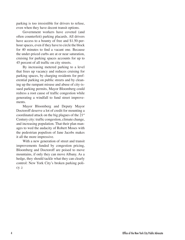parking is too irresistible for drivers to refuse, even when they have decent transit options.

 Government workers have coveted (and often counterfeit) parking placards. All drivers have access to a bounty of free and \$1.50-perhour spaces, even if they have to circle the block for 40 minutes to find a vacant one. Because the under-priced curbs are at or near saturation, cruising for parking spaces accounts for up to 45 percent of all traffic on city streets.

 By increasing metered parking to a level that frees up vacancy and reduces cruising for parking spaces, by charging residents for preferential parking on public streets and by cleaning up the rampant misuse and abuse of city-issued parking permits, Mayor Bloomberg could redress a root cause of traffic congestion while generating a windfall to fund street improvements.

 Mayor Bloomberg and Deputy Mayor Doctoroff deserve a lot of credit for mounting a coordinated attack on the big plagues of the 21st Century city: traffic congestion, climate change, and increasing population. That their plan manages to wed the audacity of Robert Moses with the pedestrian populism of Jane Jacobs makes it all the more impressive.

 With a new generation of street and transit improvements funded by congestion pricing, Bloomberg and Doctoroff are poised to move mountains, if only they can move Albany. As a hedge, they should tackle what they can clearly control: New York City's broken parking poli $cy.$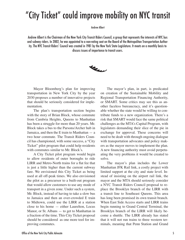### "City Ticket" could improve mobility on NYC transit

Andrew Albert

Andrew Albert is the Chairman of the New York City Transit Riders Council, a group that represents the interests of NYC bus and subway riders. In 2002, he was appointed to a non-voting seat on the Board of the Metropolitan Transportation Authority. The NYC Transit Riders' Council was created in 1981 by the New York State Legislature. It meets on a monthly basis to discuss issues of importance to transit users.



 Mayor Bloomberg's plan for improving transportation in New York City by the year 2030 proposes a number of innovative projects that should be seriously considered for implementation.

 The plan's transportation section begins with the story of Brian Block, whose commute from Cambria Heights, Queens to Manhattan has been a struggle for more than 20 years. Mr. Block takes a bus to the Parsons/Archer hub in Jamaica, and then the E train to Manhattan — a two hour commute. The Transit Riders Council has championed, with some success, a "City Ticket" pilot program that could help residents with commutes similar to Mr. Block's.

 A City Ticket pilot program would begin to allow residents of outer boroughs to ride LIRR and Metro-North trains for a flat fee that is just a little higher than the current subway fare. We envisioned this City Ticket as being used at all off-peak times. We also envisioned the pilot as a precursor to a built-out program that would allow customers to use any mode of transport in a given zone. Under such a system, Mr. Block, instead of having to take a slow bus to Jamaica and then an over-crowded E train to Midtown, could use the LIRR at a station close to his home — either Laurelton, Locus Manor, or St. Albans — to get to Manhattan in a fraction of the time. This City Ticket proposal should be considered as one more tool for improving commutes.

 The mayor's plan, in part, is predicated on creation of the Sustainable Mobility and Regional Transportation Financing Authority, or SMART. Some critics may see this as another faceless bureaucracy, and it's questionable whether the state would be willing to contribute funds to a new organization. There's a risk that SMART would face the same political challenges as the MTA's Capital Program, with legislators demanding their slice of the pie in exchange for approval. These concerns will need to be dealt with through ongoing dialogue with transportation advocates and policy makers as the mayor moves to implement the plan. A new financing authority must avoid perpetuating the very problems it would be created to solve.

 The mayor's plan includes the Lower Manhattan JFK Rail link, a costly project with limited support at the city and state level. Instead of insisting on the airport rail link, the mayor and the MTA should seriously consider a NYC Transit Riders Council proposal to replace the Brooklyn branch of the LIRR with a transit line to Southeast Queens. This area has long been promised its own transit branch. When East Side Access starts and LIRR trains begin running to Grand Central Terminal, the Brooklyn branch of the LIRR will likely become a shuttle. The LIRR already has stated that it will not run trains to three western terminals, meaning that Penn Station and Grand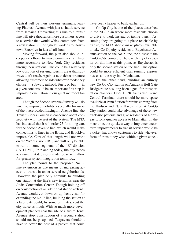Central will be their western terminals, leaving Flatbush Avenue with just a shuttle service from Jamaica. Converting this line to a transit line will give thousands more customers access to a service that would whisk commuters from a new station in Springfield Gardens to Downtown Brooklyn in just a half-hour.

 Moving forward, the plan also should incorporate efforts to make commuter rail lines more accessible to New York City residents through new stations. This could be a relatively low-cost way of serving riders in areas that subways don't reach. Again, a new ticket structure allowing customers to ride whatever mode they choose  $-$  subway, railroad, ferry, or bus  $-$  in a given zone would be an important first step in improving circulation in our great metropolitan area.

 Though the Second Avenue Subway will do much to improve mobility, especially for users of the overcrowded Lexington Avenue line, the Transit Riders Council is concerned about connectivity with the rest of the system. The MTA has indicated that it will order 75-foot-long cars for the Second Avenue line, which would make connections to lines in the Bronx and Brooklyn impossible. Cars of that length will not work on the "A" division (IRT) and will only be able to run on some segments of the "B" division (IND-BMT). In planning today, the city needs to ensure that decisions made today will allow for greater system integration tomorrow.

 The plan points to the proposed No. 7 line extension as one means of increasing access to transit in under served neighborhoods. However, the plan only commits to building one station at the line's new terminus near the Javits Convention Center. Though holding off on construction of an additional station at Tenth Avenue would cut down on up-front costs for extending the No. 7 line, building the station at a later date could, by some estimates, cost the city twice as much. With so much more development planned near the site of a future Tenth Avenue stop, construction of a second station should not be postponed. Taxpayers shouldn't have to cover the cost of a project that could

have been cheaper to build earlier on.

 Co-Op City is one of the places described in the 2030 plan where more residents choose to drive to work instead of taking transit. Assuming they are going to a place reachable by transit, the MTA should make jitneys available to take Co-Op city residents to Baychester Avenue station on the No. 5 line, the closest to the Co-Op City complex. There is plenty of capacity on this line at this point, as Baychester is only the second station on the line. This option could be more efficient than running express busses all the way into Manhattan.

 On the other hand, building an entirely new Co-Op City station on Amtrak's Hell Gate Bridge route has long been a goal for transportation planners. Once LIRR trains use Grand Central Terminal, there should be more space available at Penn Station for trains coming from the Hudson and New Haven lines. A Co-Op City station could take advantage of these new track-use patterns and give residents of Northeast Bronx quicker access to Manhattan. In the meantime, the quickest way to implement nearterm improvements to transit service would be a ticket that allows customers to ride whatever form of transit they wish within a given zone.)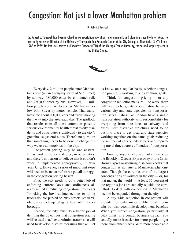### Congestion: Not just a lower Manhattan problem

Dr. Robert E. Paaswell

Dr. Robert E. Paaswell has been involved in transportation operations, management, and planning since the late 1960s. He currently serves as Director of the University Transportation Research Center at the City College of New York (CUNY). From 1986 to 1989, Dr. Paaswell served as Executive Director (CEO) of the Chicago Transit Authority, the second largest system in the United States.



 Every day, 2 million people enter Manhat $tan's core (an area roughly south of 60<sup>th</sup> Street)$ by subway; 180,000 enter by commuter rail; and 260,000 enter by bus. However, 1.1 million people continue to access Manhattan below 60th Street by motor vehicle. That translates into about 800,000 cars and trucks making their way into the area each day. The gridlock that results from all these commutes poses a serious environmental health threat to city residents and contributes significantly to the city's greenhouse gas emissions. There's no question that something needs to be done to change the way we use automobiles in the city.

 Congestion pricing may be one answer. It has worked, to some degree, in other cities, and there's no reason to believe that it couldn't work, if implemented appropriately, in New York City. However, a series of important steps will need to be taken before we put all our eggs in the congestion pricing basket.

 First, the city needs to do a better job of enforcing current laws and ordinances already aimed at reducing congestion. From cars "blocking the box" at intersections to idling trucks double-parked on busy streets, small violations can add up to big traffic snarls in every borough.

 Second, the city must do a better job of defining the objectives that congestion pricing will be used to achieve. Administrators also will need to develop a set of measures that will let us know, on a regular basis, whether congestion pricing is working to achieve those goals.

Third, for congestion pricing  $-$  or any congestion reduction measure — to work, there will need to be greater coordination between various city and state agencies on transportation issues. Cities like London have a single transportation authority with responsibility for everything from bike lanes to subways and buses. Administrative structures need to be put into place to get local and state agencies working together on the same goal: reducing the number of cars on city streets and improving travel times across *all* modes of transportation.

 Finally, anyone who regularly travels on the Brooklyn-Queens Expressway or the Cross Bronx Expressway during rush hour knows that congestion is not just a Manhattan phenomenon. Though the core has one of the largest concentrations of workers in the city  $-$  or, for that matter, the world — at least 75 percent of the region's jobs are actually outside the core. Efforts to deal with congestion in Manhattan need to be expanded throughout the city.

 A city-wide reduction in congestion will provide not only major public health benefits but also economic development benefits. When you reduce congestion, particularly at peak times, in a central business district, you actually make it easier for more people to get there from other places. With more people able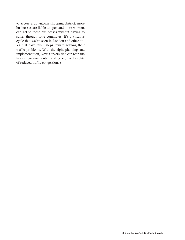to access a downtown shopping district, more businesses are liable to open and more workers can get to those businesses without having to suffer through long commutes. It's a virtuous cycle that we've seen in London and other cities that have taken steps toward solving their traffic problems. With the right planning and implementation, New Yorkers also can reap the health, environmental, and economic benefits of reduced traffic congestion.  $)$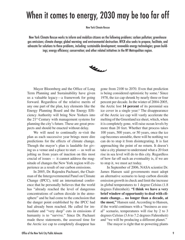# When it comes to energy, 2030 may be too far off

New York Climate Rescue

New York Climate Rescue works to inform and mobilize citizens on the following problems: carbon pollution; greenhouse gas emissions; climate change; global warming; and environmental destruction. NYCR also seeks to propose, facilitate, and advocate for solutions to these problems, including: sustainable development; renewable energy technologies; green buildings; energy efficiency; conservation; and other related initiatives in the NY Metropolitan region.



 Mayor Bloomberg and the Office of Long Term Planning and Sustainability have given us a valuable legacy—a framework for going forward. Regardless of the relative merits of any one part of the plan, key elements like the Energy Planning Board and the Energy Efficiency Authority will bring New Yorkers into the 21st Century with management systems for planning the city's future. These are great prospects and should be enacted without delay.

 We will need to continually re-visit the plan as each successive year brings more dire predictions for the effects of climate change. Though the mayor's plan is laudable for giving us a venue and a place to start — as well as jolting us from years of inaction on this most crucial of issues — it cannot address the magnitude of changes the New York region will experience as a result of our carbon emissions.

 In 2005, Dr. Rajendra Pachauri, the Chairman of the Intergovernmental Panel on Climate Change (IPCC), told an international conference that he personally believes that the world has "already reached the level of dangerous concentrations of carbon dioxide in the atmosphere" and he had come to the conclusion that the danger point established by the IPCC had had already been reached. He called for immediate and "very deep" cuts in emissions if humanity is to "survive." Since Dr. Pachauri made these statements, the assessed time for the Arctic ice cap to completely disappear has

gone from 2100 to 2070. Even that prediction is being considered optimistic by some.<sup>1</sup> Since 1978, the ice cap shrunk by nearly three or four percent per decade. In the winter of 2004-2005, the Arctic lost **14 percent** of its perennial sea ice cover in a single year.<sup>2</sup> The disappearance of the Arctic ice cap will vastly accelerate the melting of the Greenland ice sheet, which, when it is completely gone, will raise ocean levels by more than 20 feet. Whether that process takes 100 years, 500 years, or 50 years, once the ice cap becomes unstable, there will be nothing we can do to stop it from disintegrating. It is fast approaching the point of no return. It doesn't take a city planner to understand what a 20 foot rise in sea level will do to this city. Regardless of how far off such an eventuality is, if we are to stop it, we must act today.

 In September of 2006, NASA scientist Dr. James Hansen said governments must adopt an alternative scenario to keep carbon dioxide emission growth in check and limit the increase in global temperatures to 1 degree Celsius (1.8 degrees Fahrenheit). **"I think we have a very brief window of opportunity to deal with climate change… no longer than a decade, at the most,"** Hansen said. According to Hansen, if the world continues with a "business as usual" scenario, temperatures will rise by 2 to 3 degrees Celsius (3.6 to 7.2 degrees Fahrenheit) and "we will be producing a different planet."

The mayor is right that re-powering plants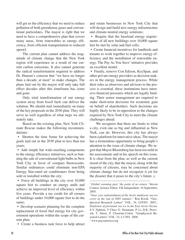will get us the efficiency that we need to reduce pollution of both greenhouse gases and conventional particulates. The mayor is right that we need to have a comprehensive plan that covers many areas, from renewables to energy efficiency, from efficient transportation to reduced sprawl.

 The current plan cannot address the magnitude of climate change that the New York region will experience as a result of our current carbon emissions. It also cannot generate the radical transformation required to address Dr. Hansen's concern that "we have no longer than a decade, at most" to make changes. The plans laid out by the mayor will only take full effect decades after this timeframe has come and gone.

 Only total transformation of our energy system away from fossil fuels can deliver the solution. We should start immediately on many of the key proposals in the 2030 plan. They will serve us well regardless of what steps we ultimately take.

 Based on the existing plan, New York Climate Rescue makes the following recommendations:

 • Shorten the time frame for achieving the goals laid out in the 2030 plan to less than ten years;

 • Add simple but wide-reaching components to the energy efficiency initiatives, such as banning the sale of conventional light bulbs in New York City in favor of compact fluorescents. Similar ordinances could eliminate non-EPA Energy Star-rated air conditioners from being sold or installed within the city;

• Force all buildings in the city over 10,000 square feet to conduct an energy audit and achieve an improved level of efficiency within five years. Provide a tax credit for all owners of buildings under 10,000 square feet to do the same;

 • Develop scenario planning for the complete replacement of fossil fuel energy for city government operations within the scope of the current plan;

• Create a business task force to help attract

and retain businesses in New York City that will design and build new energy infrastructure and climate-neutral energy solutions;

 • Require that the baseload energy requirements of all new buildings over 10,000 square feet be met by solar and fuel cells;

 • Create financial incentives for landlords and tenants to work together to improve energy efficiency and the installation of renewable energy. The Pay As You Save<sup>3</sup> initiative provides an excellent model.

 • Finally, remove Con Edison, KeySpan, and other private energy providers as decision makers in the energy management process. While their roles as observers and advisors to the process is essential, these institutions have intensive financial pressures which are legally binding. Their senior management are required to make short-term decisions for economic gain on behalf of shareholders. Such decisions are highly likely to be in opposition to the changes required by New York City to meet the climate challenges ahead.

 We recognize that there are limits to what a city, even one as big and influential as New York, can do. However, this city has always been a platform for innovative ideas. The mayor has a tremendous opportunity to bring people's attention to the issue of climate change. We regret that Mayor Bloomberg has been too mild in his assessments and in his speech on this issue. It is clear from the plan, as well as the current mood of the city, that the mayor, along with the majority of citizens, may be concerned about climate change but do not recognize it yet for the disaster that it poses to the city's future.)

3 www.paysamerica.org

<sup>1</sup>*Global warming past 'the point of no return.'* Steven Connor, Science Editor. UK Independent. 16 September, 2005.

<sup>2</sup>*Near zero replenishment of the Arctic multiyear sea ice cover at the end of 2005 summer."* Ron Kwok. "Geophysical Research Letters" VOL. 34, L05501. 2007.; *Depletion of perennial sea ice in the East Arctic Ocean.*  S.V. Nghiem, Y Chao, G. Neumann, P. Li, D.K. Perovich, T. Street, P. Clemente-Colon. "Geophysical Research Letters" VOL. 33, L17501. 2006.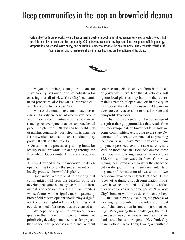# Keep communities in the loop on brownfield cleanup

Sustainable South Bronx

Sustainable South Bronx works toward Environmental Justice through innovative, economically sustainable projects that are informed by the needs of the community. SSB addresses economic development, land-use, green building, energy, transportation, water and waste policy, and education in order to advance the environmental and economic rebirth of the South Bronx, and to inspire solutions in areas like it across the nation and the globe.



 Mayor Bloomberg's long-term plan for sustainability lays out a series of bold steps for ensuring that all of New York City's contaminated properties, also known as "brownfields," are cleaned up by the year 2030.

 Most of the remaining contaminated properties in the city are concentrated in low income and minority communities that are now experiencing redevelopment at an unprecedented pace. The plan for 2030 does an honorable job of making community participation in planning for brownfield redevelopment an official city policy. It calls on the state to:

 • Streamline the process of granting funds for locally-based brownfield planning through the Brownfield Opportunity Area grant program; and

 • Award tax and financing incentives to developers willing to follow the guidelines set out in locally produced brownfields plans.

 Both initiatives are vital to ensuring that communities will reap the benefits of future development after so many years of environmental and economic neglect. Communities whose futures will be significantly impacted by brownfield redevelopment should play a significant and meaningful role in determining what gets developed after properties are cleaned up.

 We hope the city will follow up on its requests to the state with its own commitment to prioritizing development incentives for projects that honor local processes and plans. Without concrete financial incentives from both levels of government, we fear that developers will ignore local plans as they build on the few remaining parcels of open land left in the city. In the process, the city must ensure that the incentives are easily accessible to small private and non-profit developers.

 The city also needs to take advantage of the job training opportunities that result from the redevelopment of brownfields in low income communities. According to the state Department of Labor, environmental engineering technicians will have "very favorable" employment prospects over the next seven years. With no more than an associate's degree, these technicians are earning a median salary of over \$45,000—a living wage in New York City. Giving local low-skilled workers the chance to get on-the-job training in environmental testing and soil remediation allows us to hit two economic development targets at once. These types of training-through-remediation initiatives have been piloted in Oakland, California and could easily become part of New York City's broader workforce development policy.

 In a complex city like ours, the process of cleaning up brownfields provides a different set of challenges than in rural or suburban settings. Recognizing these challenges, the 2030 plan describes some areas where cleanup standards could be less stringent in New York City than in other places. Though we agree with the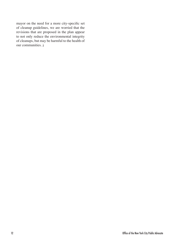mayor on the need for a more city-specific set of cleanup guidelines, we are worried that the revisions that are proposed in the plan appear to not only reduce the environmental integrity of cleanups, but may be harmful to the health of our communities. )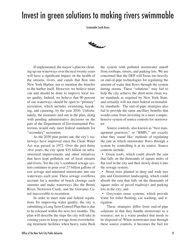### Invest in green solutions to making rivers swimmable

Sustainable South Bronx

**May** 

 If implemented, the mayor's plan for cleaning up our waterways over the next twenty years will have a significant impact on the health of the streams, rivers, and canals that flow into New York Harbor, not to mention the benefits to the harbor itself. However, we believe more can and should be done to improve local water quality. Indeed, we believe that 90 percent of our waterways should be open to "primary" recreation, which includes swimming, kayaking, and canoeing, by the year 2030. Unfortunately, the measures laid out in the plan, along with pending administrative decisions on the part of the Department of Environmental Protection, would only meet federal standards for "secondary" recreation.

 As the 2030 plan points out, the city's waterways have improved since the Clean Water Act was passed in 1972. Over the past thirty -five years, the city spent \$35 billion on infrastructural improvements and other initiatives that have kept pollution out of local streams and rivers. Yet the city's combined sewage system continues to pour over 27 billion gallons of raw sewage and untreated stormwater into our waterways each year. These sewage overflows account for a number of beach closings each summer and make waterways like the Bronx River, Newtown Creek, and the Gowanus Canal inaccessible to recreation.

 In order to meet state and federal regulations for improving water quality, the city is submitting a Long Term Control Plan that is due to be released within the next two months. The plan will describe the steps the city will take in coming years to keep sewage from overwhelming treatment facilities when heavy rains flush the system with polluted stormwater runoff from rooftops, streets, and parking lots. We are concerned that the DEP will focus too heavily on end-of-pipe technologies for regulating the amount of water that flows through the system during storms. These "solutions" may fail to help the city achieve the short-term clean water standards as required by New York State, and certainly will not meet federal swimmability standards. The end-of-pipe strategies also fail to provide the same ancillary benefits that would come from investing in a more comprehensive system of source controls for stormwater.

 Source controls, also known as "best management practices," or "BMPs," are exactly what they sound like: methods of regulating the rate at which stormwater flows through a system by controlling it at its source. Source controls include:

• Green roofs, which could absorb the rain that falls on the thousands of square miles of flat roof in the city and then slowly drain it into the sewage system;

 • Street trees planted in deep and wide tree pits and Greenstreet landscaping, which could absorb the rain that falls on the thousands of square miles of paved roadways and parking lots in the city; and

 • Greywater reuse systems, which provide water for toilet flushing, car washing, and irrigation.

 These strategies differ from end-of-pipe solutions in that they handle stormwater as a resource; not as a waste product that needs to be disposed of. When stormwater runs through these source controls, it becomes the fuel for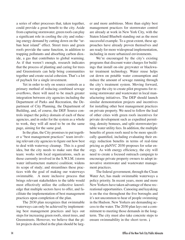a series of other processes that, taken together, could provide a great benefit to the city. Aside from capturing stormwater, green roofs can play a significant role in cooling the city and reducing energy demand by cutting down on the "urban heat island" effect. Street trees and green roofs provide the same function, in addition to trapping pollutants and absorbing carbon dioxide, a gas that contributes to global warming. As if that weren't enough, research indicates that the process of planting and caring for trees and Greenstreets can help bring communities together and create social cohesion. That's a lot of payback for a single investment.

 Yet in order to rely on source controls as a primary method of reducing combined sewage overflows, there will need to be much greater integration between city agencies including the Department of Parks and Recreation, the Department of City Planning, the Department of Building, and, of course, the DEP. Source controls impact the policy domain of each of these agencies, and in order for the system as a whole to work, they will all need to be on the same page, aiming for the same goal.

 In the plan, the City promises to put together a "best management practices" team involving relevant city agencies to figure out how best to deal with waterway cleanup. This is a good idea, but the city needs to make sure that the team: works with local organizations, such as those currently involved in the S.W.I.M. (storm water infrastructure matters) coalition; widens its scope of study; and streamlines these practices with the goal of making our waterways swimmable. A more inclusive process that brings relevant stakeholders to the table would most effectively utilize the collective knowledge that multiple sectors have to offer, and facilitate the implementation of best management practices upon completion of the plan.

 The 2030 plan recognizes that swimmable waterways can only be achieved by implementing best management practices and lays out steps for increasing green roofs, street trees, and Greenstreets. However, we believe that the pilot projects described in the plan should be larg-

er and more ambitious. More than eighty best management practices for stormwater control are already at work in New York City, with the Staten Island Bluebelt standing out as the most successful example. To a great extent, these approaches have already proven themselves and are ready for more widespread implementation, including in more urbanized environments.

 We're encouraged by the city's existing programs that discount water charges for buildings that install on-site greywater or blackwater treatment technology. Water reuse helps cut down on potable water consumption and reduce the amount of sewage running through the city's treatment system. Moving forward, we urge the city to create pilot programs for reusing stormwater and wastewater in local manufacturing initiatives. The DEP should launch similar demonstration projects and incentives for installing other best management practices on private property. We need to follow the lead of other cities with green roofs incentives for private development such as expedited permitting, density bonuses, and split stormwater/potable water utility fees. In addition, the multiple benefits of green roofs need to be more specifically quantified, including evaluating their energy reduction benefits in terms of real-time pricing as plaNYC 2030 proposes for solar energy. As with energy efficiency, the city will need to create a focused outreach campaign to encourage private property owners to adopt innovative stormwater and wastewater management practices.

 The federal government, through the Clean Water Act, has made swimmable waterways a policy priority. In recent years, more and more New Yorkers have taken advantage of these recreational opportunities. Canoeing and kayaking is on the rise throughout the five boroughs and it's not uncommon to hear of people swimming in the Hudson. New Yorkers are demanding access to the water. The 2030 plan lays out a commitment to meeting those demands in the longterm. The city must also take concrete steps to ensure swimmability in the short term.  $\mathbf{\hat{i}}$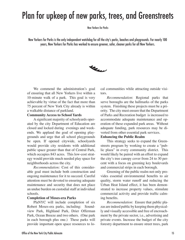## Plan for upkeep of new parks, trees, and Greenstreets

New Yorkers for Parks

New Yorkers for Parks is the only independent watchdog for all the city's parks, beaches and playgrounds. For nearly 100 years, New Yorkers for Parks has worked to ensure greener, safer, cleaner parks for all New Yorkers.



We commend the administration's goal of ensuring that all New Yorkers live within a 10-minute walk of a park. This goal is very achievable by virtue of the fact that more than 75 percent of New York City already is within a walkable distance of parkland.

#### **Community Access to School Yards**

 A significant majority of schoolyards operated by the city Department of Education are closed and locked during evenings and weekends. We applaud the goal of opening playgrounds and urge that all school playgrounds be open. If opened citywide, schoolyards would provide city residents with additional public space greater than that of Central Park, which occupies 843 acres. This low-cost strategy would provide much needed play space for neighborhoods across the city.

 *Recommendation:* Cost of this considerable goal must include both construction and ongoing maintenance for it to succeed. Careful attention must be devoted to ensuring adequate maintenance and security that does not place an undue burden on custodial staff at individual schools.

#### **Completion of Moses-era Parks**

 PlaNYC will include completion of six Robert Moses-era parks, including: Soundview Park, Highland Park, Drier Offerman Park, Ocean Breeze and two others. (One park in each borough plus one.) These parks will provide important open space resources to local communities while attracting outside visitors.

*Recommendation*: Regional parks that serve boroughs are the hallmarks of the parks system. Finishing these projects must be a priority. The city must ensure that the Department of Parks and Recreation budget is increased to accommodate adequate maintenance and operation of these expanded park areas. Without adequate funding, park resources may be diverted from other essential park services.

#### **Enhancing the Public Realm**

 This strategy seeks to expand the Greenstreets program by working to create a "public plaza" in every community district. This would likely be paired with an effort to expand the city's tree canopy cover from 24 to 30 percent with a focus on greening key boulevards and commercial strips in each borough.

 Greening of the public realm not only provides essential environmental benefits to air quality, storm water runoff and reducing the Urban Heat Island effect, it has been demonstrated to increase property values, stimulate commercial activity and provide traffic calming benefits.

*Recommendation*: Ensure that public plazas are indeed public by keeping them physically and visually accessible and free of encroachment by the private sector, i.e., advertising and private events. Increase the budget of the city forestry department to ensure street trees, park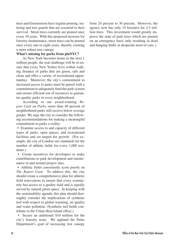trees and Greenstreets have regular pruning, watering and tree guards that are essential to their survival. Street trees currently are pruned once every 10 years. With this proposed increase for forestry maintenance, street trees can be pruned once every one to eight years, thereby creating a more robust tree canopy.

### **What's missing for parks from plaNYC?**

 As New York becomes home to the next 1 million people, the real challenge will be to ensure that every New Yorker lives within walking distance of parks that are green, safe and clean and offer a variety of recreational opportunities. Moreover, the city's commitment to increased access to parks must be paired with a commitment to adequately fund the park system and ensure efficient use of resources to guarantee quality parks in every neighborhood.

 According to our award-winning *Report Card on Parks*, more than 40 percent of neighborhood parks still receive below average grades. We urge the city to consider the following recommendations for making a meaningful commitment to parks a reality:

 • Examine access to and capacity of different types of parks, open spaces, and recreational facilities and set targets for growth. (For example, the city of London sets standards for the number of athletic fields for every 1,000 residents.)

 • Create incentives for developers to make contributions to park development and maintenance in and around project sites.

 • Athletic fields consistently score poorly on *The Report Card*. To address this, the city should create a comprehensive plan for athletic field renovations to ensure that every community has access to a quality field and is equally served by natural green space. In keeping with the sustainability agenda, this plan should thoroughly consider the implications of synthetic turf with respect to global warming, air quality and water pollution. (Synthetic turf fields contribute to the Urban Heat Island effect.)

 • Secure an additional \$10 million for the city's forestry team. We applaud the Parks Department's goal of increasing tree canopy

from 24 percent to 30 percent. However, the agency now has only 14 foresters for 2.5 million trees. This investment would greatly improve the state of park trees which are pruned on an emergency basis only resulting in dead and hanging limbs in desperate need of care.)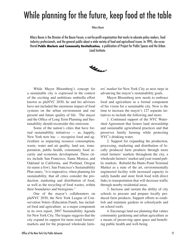# While planning for the future, keep food at the table

Hilary Baum

Hilary Baum is the Director of the Baum Forum, a not-for-profit organization that works to educate policy makers, food industry professionals, and the general public about a wide variety of food and agricultural issues. In 1995, she co-authored **Public Markets and Community Revitalization***,* a publication of Project for Public Spaces and the Urban Land Institute.



 While Mayor Bloomberg's concept for a sustainable city is expressed in the context of the exciting and ambitious umbrella effort known as plaNYC 2030, he and his advisors have not included the enormous impact of food systems on the urban environment and our present and future quality of life. The mayor and the Office of Long Term Planning and Sustainability should reconsider this omission.

 Some of the nation's cities that have formal sustainability initiatives — as, happily, New York now has — recognize food and agriculture as impacting resource consumption, waste, water and air quality, land use, transportation, public health, community food security and economic development. These cities include San Francisco, Santa Monica, and Oakland in California, and Portland, Oregon (to name a few). San Francisco's Sustainability Plan states, "it is imperative, when planning for sustainability, that all cities consider the production, marketing and distribution of food, as well as the recycling of food wastes, within their boundaries and bioregions."

 One of the mayor's collaborators on plaNYC 2030, the New York League of Conservation Voters (Education Fund), has included food and agriculture as a major component in its own report, 2007 Sustainability Agenda for New York City. The league suggests that the city expand its support for more retail farmers' markets and for the proposed wholesale farmers' market for New York City as next steps in advancing the mayor's sustainability goals.

 Mayor Bloomberg now needs to embrace food and agriculture as a formal component of his vision for a sustainable city. Now is the time to increase the mayor's 127 separate initiatives to include the following and more:

 1. Continued support of the NYC Watershed Agreement that fosters land stewardship and sustainable agricultural practices and that preserves family farming while protecting NYC's drinking water.

 2. Support for expanding the production, processing, marketing and distribution of locally produced farm products through more retail farmers' markets throughout the city, a wholesale farmers' market and year-round public markets. Rebuild the Hunts Point Terminal Market as a state of the art, environmentally engineered facility with increased capacity to safely handle and store fresh food with direct links to transportation that will decrease traffic through nearby residential areas.

 3. Increase and sustain the ability of city schools to procure and prepare locally produced farm products. Support efforts to establish and maintain gardens in schoolyards and on school roofs.

 4. Encourage land use planning that values community gardening and urban agriculture as a means of preserving open space and benefiting public health and well-being.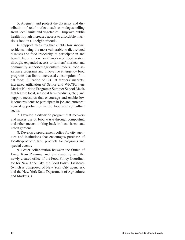5. Augment and protect the diversity and distribution of retail outlets, such as bodegas selling fresh local fruits and vegetables. Improve public health through increased access to affordable nutritious food in all neighborhoods.

 6. Support measures that enable low income residents, being the most vulnerable to diet-related diseases and food insecurity, to participate in and benefit from a more locally-oriented food system through: expanded access to farmers' markets and community supported agriculture; federal food assistance programs and innovative emergency food programs that link to increased consumption of local food; utilization of EBT at farmers' markets; increased utilization of Senior and WIC/Farmers Market Nutrition Programs; Summer School Meals that feature local, seasonal farm products, etc.; and support measures that encourage and enable low income residents to participate in job and entrepreneurial opportunities in the food and agriculture sector.

 7. Develop a city-wide program that recovers and makes use of food waste through composting and other means, linking back to local farms and urban gardens.

 8. Develop a procurement policy for city agencies and institutions that encourages purchase of locally-produced farm products for programs and special events.

 9. Foster collaboration between the Office of Long Term Planning and Sustainability and the newly created office of the Food Policy Coordinator for New York City, the Food Policy Taskforce (which is composed of New York City agencies), and the New York State Department of Agriculture and Markets.  $\lambda$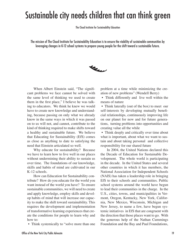### Sustainable city needs children that can think green

The Cloud Institute for Sustainability Education

The mission of The Cloud Institute for Sustainability Education is to ensure the viability of sustainable communities by leveraging changes in K-12 school systems to prepare young people for the shift toward a sustainable future.



 When Albert Einstein said, "The significant problems we face cannot be solved with the same level of thinking we used to create them in the first place," I believe he was talking to educators. We think he knew we would have to create new knowledge and understanding, because passing on only what we already know in the same ways in which it was passed on to us will not, and cannot, contribute to the kind of thinking required to make shifts toward a healthy and sustainable future. We believe that Educating for Sustainability (EfS) comes as close as anything to date to satisfying the need that Einstein articulated so well.

 Why educate for sustainability? Because we have to learn how to live well in our places without undermining their ability to sustain us over time. The foundations of our knowledge, skills and habits of mind are cultivated in our K-12 schools.

 How can Education for Sustainability contribute? How do you educate for the world you want instead of the world you have? To ensure sustainable communities, we will need to create and apply knowledge, employ skills and develop habits of mind that will increase our capacity to make the shift toward sustainability. This requires the development and implementation of transformative learning experiences that create the conditions for people to learn why and how to:

• Think systemically to "solve more than one

problem at a time while minimizing the creation of new problems" (Wendell Berry)

 • Think differently and live well within the means of nature

• Think laterally (out of the box) to meet our self-interests by developing mutually beneficial relationships, continuously improving life on our planet for now and for future generations, turning problems into opportunities and creating value all the while

• Think deeply and critically over time about what is important, about what we want to sustain and about taking personal and collective responsibility for our shared future

 In 2004, the United Nations declared this the Decade of Education for Sustainable Development. The whole world is participating in the decade. In the United States and several other countries in which it has members, the National Association for Independent Schools (NAIS) has taken a leadership role in bringing EfS to their schools and communities. Public school systems around the world have begun to lead their communities in the charge. In the U.S., cities, towns, and municipalities in Vermont, Oregon, Kentucky, New York, California, New Mexico, Wisconsin, Michigan and New Jersey, to name a few, have begun systemic initiatives in EfS that are congruent with the direction that those places want to go. With the generous help of the Nathan Cummings Foundation and the Bay and Paul Foundations,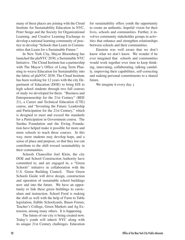many of these places are joining with the Cloud Institute for Sustainability Education in NYC, Peter Senge and the Society for Organizational Learning, and Creative Learning Exchange to develop a national learning community of practice to develop "Schools that Learn in Communities that Learn for a Sustainable Future."

 In New York City, Mayor Bloomberg has launched the plaNYC 2030, a Sustainable NYC Initiative. The Cloud Institute has a partnership with The Mayor's Office of Long Term Planning to weave Education for Sustainability into the fabric of plaNYC 2030. The Cloud Institute has been working for 12 years with the city Department of Education (DOE) to bring EfS to high school students through two full courses of study we developed for them: "Business and Entrepreneurship for the 21st Century" (BEE 21), a Career and Technical Education (CTE) course, and "Inventing the Future: Leadership and Participation for the 21st Century," which is designed to meet and exceed the standards for a Participation in Government course. The Surdna Foundation and the Ewing Foundation have helped make it possible for more and more schools to teach these courses. In this way, more students may develop hope, and a sense of place and purpose, so that they too can contribute to the shift toward sustainability in their communities.

 Schools Chancellor Joel Klein, the city DOE and School Construction Authority have committed to, and are engaged in, a "Green Schools" initiative in collaboration with the U.S. Green Building Council. Their Green Schools Guide will drive design, construction and operation of sustainable school buildings now and into the future. We have an opportunity to link these green buildings to curriculum and instruction. School Food is making the shift as well with the help of Farm to Table legislation, Edible Schoolyards, Baum Forum, Teacher's College, Green Markets and Ag Extension, among many others. It is happening.

 The future of our city is being created now. Today's youth will inherit NYC along with its unique 21st Century challenges. Education for sustainability offers youth the opportunity to create an authentic, hopeful vision for their lives, schools and communities. Further, it involves community stakeholder groups in activities that enhance and strengthen relationships between schools and their communities.

 Einstein was well aware that we don't know what we don't know. We wonder if he ever imagined that schools and communities would work together over time to keep thinking, innovating, collaborating, talking candidly, improving their capabilities, self-correcting and making personal commitments to a shared future.

We imagine it every day.  $\mathbf{\hat{i}}$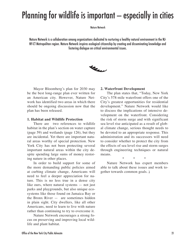# Planning for wildlife is important — especially in cities

Nature Network

Nature Network is a collaboration among organizations dedicated to nurturing a healthy natural environment in the NJ-NY-CT Metropolitan region. Nature Network inspires ecological citizenship by creating and disseminating knowledge and fostering dialogue on critical environmental issues.



 Mayor Bloomberg's plan for 2030 may be the best long-range plan ever written for an American city. However, Nature Network has identified two areas in which there should be ongoing discussion now that the plan has been released.

### **1. Habitat and Wildlife Protection**

 There are two references to wildlife habitat in the plan's section on water capture (page 59) and wetlands (page 126), but they are incidental. Yet there are important natural areas worthy of special protection. New York City has not been protecting several important natural areas within the city despite spending large sums of money restoring nature in other places.

 In order to build support for some of the more demanding public policies aimed at curbing climate change, Americans will need to feel a deeper appreciation for nature. This is no less true in a dense city like ours, where natural systems — not just parks and playgrounds, but also unique ecosystems like those found on Jamaica Bay or the Bronx River — are sometimes hidden in plain sight. City dwellers, like all other Americans, need to learn to live with nature rather than continuing to try to overcome it.

 Nature Network encourages a strong focus on preserving and improving local wildlife and plant habitat.

### **2. Waterfront Development**

 The plan states that, "Today, New York City's 578-mile waterfront offers one of the City's greatest opportunities for residential development." Nature Network would like to discuss the implications of intensive development on the waterfront. Considering the risk of storm surge and with significant sea level rise anticipated as a result of global climate change, serious thought needs to be devoted to an appropriate response. This administration and its successors will need to consider whether to protect the city from the effects of sea level rise and storm surges through engineering techniques or natural means.

 \* \* \* Nature Network has expert members able to talk about these issues and work together towards common goals. M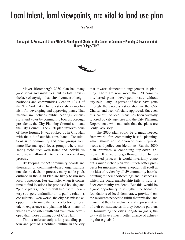### Local talent, local viewpoints, are vital to land use plan

Tom Angotti

Tom Angotti is Professor of Urban Affairs & Planning and Director of the Center for Community Planning & Development at Hunter College/CUNY.



 Mayor Bloomberg's 2030 plan has many good ideas and initiatives, but its fatal flaw is the lack of any significant involvement of neighborhoods and communities. Section 197-a of the New York City Charter establishes a mechanism for developing and approving plans. That mechanism includes public hearings, discussions and votes by community boards, borough presidents, the City Planning Commission and the City Council. The 2030 plan involves none of these forums. It was cooked up in City Hall with the aid of outside consultants. Consultations with community and civic groups were more like managed focus groups where marketing techniques were tested and individuals were never allowed into the decision-making process.

 By keeping the 59 community boards and thousands of community-based organizations outside the decision process, many noble goals outlined in the 2030 Plan are likely to run into local opposition. For example, when it comes time to find locations for proposed housing and "public plazas," the city will find itself in territory strangely unfamiliar to its public relations consultants. Even worse, the city has missed an opportunity to mine the rich collection of local talent, experience and planning ideas, many of which are consistent with and even more developed than those coming out of City Hall.

 This is unfortunately a long-standing pattern and part of a political culture in the city that thwarts democratic engagement in planning. There are now more than 70 community-based plans, developed mostly without city help. Only 10 percent of these have gone through the process established in the City Charter and been officially approved. But even this handful of local plans has been virtually ignored by city agencies and the City Planning Department, who maintain that the plans are "only" advisory.

 The 2030 plan could be a much-needed framework for community-based planning, which should not be divorced from city-wide needs and policy considerations. But the 2030 plan promises a continuing top-down approach. If it were to go through the Chartermandated process, it would invariably come out a much richer plan with much better prospects for implementation. Skeptics will scoff at the idea of review by all 59 community boards, pointing to their shortcomings and instances in which the board membership fails to truly reflect community residents. But this would be a good opportunity to strengthen the boards as foundations of local democracy, provide them the resources needed to fulfill their mission and insist that they be inclusive and representative of their constituencies. If they become partners in formulating the city's long-term goals, the city will have a much better chance of achieving those goals.)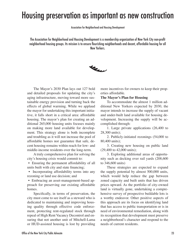### Housing preservation as important as new construction

Association for Neighborhood and Housing Development

The Association for Neighborhood and Housing Development is a membership organization of New York City non-profit neighborhood housing groups. Its mission is to ensure flourishing neighborhoods and decent, affordable housing for all New Yorkers.



 The Mayor's 2030 Plan lays out 127 bold and detailed proposals for updating the city's aging infrastructure, moving toward more sustainable energy provision and turning back the effects of global warming. While we applaud the mayor for undertaking this important initiative, it falls short in a critical area: affordable housing. The mayor's plan for creating an additional 265,000 housing units focuses mainly on making more land available for development. This strategy alone is both incomplete and troubling as it will not increase the pool of affordable homes nor guarantee that safe, decent housing remains within reach for low- and middle-income residents over the long-term.

 A truly comprehensive plan for solving the city's housing crisis would commit to:

 • Ensuring the permanent affordability of all units built with city and state financing;

• Incorporating affordability terms into any rezoning or land use decision; and

 • Embracing an asset-management-based approach for preserving our existing affordable homes.

 Specifically, in terms of preservation, the city must come to see itself as a steward who is dedicated to maintaining and improving housing quality through effective code enforcement, protecting rent-regulated stock through repeal of High Rent Vacancy Decontrol and ensuring that not another unit of Mitchell-Lama or HUD-assisted housing is lost by providing

more incentives for owners to keep their properties affordable.

#### **The Mayor's Plan for Housing**

 To accommodate the almost 1 million additional New Yorkers expected by 2030, the mayor intends to increase the supply of vacant and under-built land available for housing development. Increasing the supply will be accomplished through:

 1. Large private applications (26,400 to 28,300 units);

 2. Publicly-initiated rezonings (54,000 to 80,400 units);

 3. Creating new housing on public land (29,400 to 42,000 units);

 3. Exploring additional areas of opportunity such as decking over rail yards (208,600 to 346,600 units)

 These strategies are expected to expand the supply potential by almost 500,000 units, which would help reduce the gap between zoned capacity and built units that has driven prices upward. As the portfolio of city-owned land is virtually gone, undertaking a comprehensive survey of prospective buildable lots is a worthy endeavor. Other positive aspects of this approach are its focus on identifying land that has access to public transportation or is in need of environmental remediation, along with its recognition that development must preserve a neighborhood's character and respond to the needs of current residents.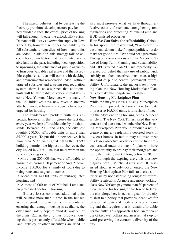The mayor believes that by decreasing the "scarcity premium" developers now pay for limited buildable sites, the overall price of housing will fall enough to ease the affordability crisis. Demand will always overwhelm supply in New York City, however, so prices are unlikely to fall substantially regardless of how many units are added. In addition, this strategy fails to account for certain factors that have limited available land in the past, including local opposition to upzonings, the reluctance of public agencies to turn over valuable real estate and the incredible capital costs that will come with decking and environmental remediation. Also, without targeted subsidies and a strong rent regulation system, there is no assurance that additional units will be affordable to low- and middle-income New Yorkers. Moreover, while many of the 127 initiatives have new revenue streams attached, no new financial resources have been targeted for housing.

 The fundamental problem with this approach, however, is that it ignores the fact that every year we lose affordable units by the thousands. Between 2002 and 2005, the city lost roughly 260,000 affordable units or more than 85,000 a year. To put this in perspective, it is more than 2-1/2 times greater than the 31,599 building permits, the highest number ever, the city issued in 2005. The lost units were in the following categories:

 • More than 205,000 that were affordable to households earning 80 percent of Area Median Income (\$50,000 for a family of four) due to rising rents and stagnant incomes

 • More than 44,000 units of rent-regulated housing; and

 • Almost 10,000 units of Mitchell-Lama and project-based Section 8 housing

 If these losses continue, additional units will be little more than a drop in the bucket. While expanded production is instrumental in ensuring that enough housing is available, the city cannot solely hope to build its way out of the crisis. Rather, the city must produce housing that is permanently affordable when public land, subsidy or other incentives are used. It

also must preserve what we have through effective code enforcement, strengthening rent regulations and protecting Mitchell-Lama and HUD-assisted properties.

**How We Can Solve the Affordability Crisis** In his speech the mayor said, "Long-term investments do not make for good politics, but do make for good cities." We could not agree more. During our conversations with the Mayor's Office of Long Term Planning and Sustainability and HPD around plaNYC, we repeatedly expressed our belief that any use of public land, subsidy or other incentives must meet a high standard of public benefit: permanent affordability. Unfortunately, the mayor's own housing plan, the New Housing Marketplace Plan, fails to make this long-term investment.

### **New Housing Marketplace Plan**

While the mayor's New Housing Marketplace Plan is an unprecedented investment to create or preserve 165,000 units, it falls short of meeting the city's enduring housing needs. A recent article in The New York Times raised this very concern and questioned whether the New Housing Marketplace Plan would produce a net increase or merely replenish a depleted stock of low-cost homes. In fact, it may not even meet this lesser objective as owners of the first projects created under the mayor's plan will have the opportunity to pre-pay their mortgages and bring the units to market long before 2030.

 Although the expiring-use crisis that now plagues both Mitchell-Lama and HUD-assisted stock is widely documented, the New Housing Marketplace Plan fails to avert a similar crisis by not establishing long-term affordability restrictions. As more and more workingclass New Yorkers pay more than 30 percent of their income for housing or are forced to leave the city altogether, it seems logical for the city to shift to a policy that provides incentives for creation of low- and moderate-income housing and that requires that it remain affordable permanently. This approach is both an efficient use of taxpayer dollars and an essential step toward preserving the economic diversity of the city.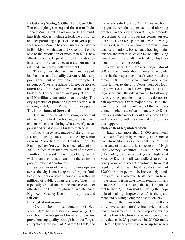#### **Inclusionary Zoning & Other Land Use Policy**

The city's pledge to expand the use of Inclusionary Zoning, which allows for larger buildings if developers include affordable units, was another promising aspect of the mayor's plan. Inclusionary Zoning has been used successfully in Brooklyn, Manhattan and Queens and could lead to the production of more than 6,000 new affordable units. Expanded use of this strategy is especially welcome because the non-market rate units are permanently affordable.

 The city must also institute a land use policy that does not disqualify current residents by pricing them out of new units. For example, 60 percent of Queens residents will not be able to afford any of the 5,000 new apartments being built as part of the Queens West project, despite a \$150 million contribution from the city. The city's practice of promoting gentrification, as it is doing with Queens West, must be stopped.

### **The Importance of Stewardship**

 The significance of preserving every unit of the city's affordable housing is particularly evident when considering who currently occupies it and what is being built to replace it.

 First, a large percentage of the city's affordable housing stock is occupied by senior citizens. According to the Department of City Planning, New York will be a much older city in 2030. In fact, more than one-third of the city's 1 million new residents will be elderly, which will put an even greater strain on the shrinking pool of low-cost apartments.

 Second, most of the housing development across the city is not being built for poor families or seniors on fixed incomes, even though millions of public dollars are used. Thus, it is especially critical that we do not lose another affordable unit due to physical maintenance, High Rent Vacancy Decontrol or opt-outs and fail-outs.

#### **Physical Maintenance**

 Overall, the physical condition of New York City's housing stock is improving. The city should be recognized for its efforts to improve housing quality through both the Targeted Cyclical Enforcement Program (T-CEP) and the recent Safe Housing Act. However, housing quality remains a persistent and alarming problem in the city's poorest neighborhoods. According to the most recent census survey, more than 75,000 apartments were severely distressed, with five or more hazardous maintenance violations. For tenants, housing maintenance and repair issues can make daily living dangerous and are often related to displacement of low-income people.

 New York City tenants lodge almost 600,000 complaints about maintenance conditions in their apartments each year, but there remain 2.8 million open maintenance violations known to the city Department of Housing Preservation and Development. This is largely because the city is unable to follow-up by assessing penalties if landlords do not repair apartments. Other major cities use a "Repair Enforcement Board" model that achieves a much higher rate of compliance. ANHD believes a similar model should be adopted here and is working with the state and city to make this happen.

### **Protect Rent Regulated Stock**

 Each year, more than 14,000 apartments lose their affordability when they are removed from Rent Stabilization or Rent Control. Ten thousand of these are lost because of "High Rent Vacancy Decontrol." Passed in 1997, but only widely used in recent years, High Rent Vacancy Decontrol allows landlords to permanently remove a vacant apartment from rent regulation if it has a legal regulated rent of \$2,000 or more per month. Increasingly, landlords are using whatever tools they can to remove tenants from apartments renting for less than \$2,000, then raising the legal regulated rent to the \$2,000 threshold by using the loophole of making "improvements" in the apartment and passing along the cost to tenants.

 Two of the main tools used by landlords to remove tenants are frivolous evictions and tenant harassment. It has been reported widely that the Pinnacle Group issued eviction notices to residents in 25 percent of its 20,000 units. In fact, citywide evictions were up by nearly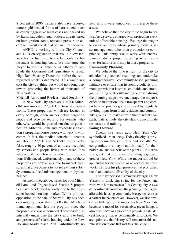8 percent in 2006. Tenants also have reported more sophisticated forms of harassment, such as overly aggressive legal cases not backed up by facts, fraudulent legal notices, threats based on immigration status, repeated pressure to accept a buy-out and denial of essential services.

 ANHD is working with the City Council and HPD on legislation that would allow tenants, for the first time, to sue landlords for harassment in housing court. We also urge the mayor to use his influence in Albany to persuade the Governor and legislature to repeal High Rent Vacancy Decontrol before the rentregulated stock is decimated. This would not cost the city anything but would go a long way toward protecting the homes of thousands of New Yorkers.

#### **Mitchell-Lama and Project-based Section 8**

 In New York City, there are 114,000 Mitchell-Lama units and 77,000 HUD-assisted apartments. These properties, which are located in every borough, often anchor entire neighborhoods and provide security for tenants who otherwise would be pushed out due to gentrification. Mitchell-Lama and Project-based Section 8 properties house people with very low incomes. In fact, the median household incomes are about \$22,500 and \$11,500 respectively. Also, roughly 40 percent of units are occupied by seniors and people living with disabilities who would have few alternative housing options if displaced. Unfortunately, many of these properties are now at risk due to market pressures that drive owners to not renew their subsidy contracts, fiscal mismanagement or physical neglect.

 As mentioned above, losses for both Mitchell-Lama and Project-based Section 8 properties have accelerated recently due to the city's super-heated housing market. While political opposition to the sale of Starrett City has been encouraging, more than 1,000 other Mitchell-Lama apartments left the program since the proposed sale was announced. These losses significantly undermine the city's efforts to build and preserve affordable housing under the New Housing Marketplace Plan. Unfortunately, no

new efforts were announced to preserve these assets.

 We believe that the city must begin to see itself as a steward charged with protecting every unit of affordable housing. We urge the mayor to create an entity whose primary focus is asset management rather than production or compliance. This entity would work with tenants, monitor at-risk properties and provide incentives for landlords to stay in these programs.

### **Community Planning**

 We believe the time is right for the city to abandon its piecemeal rezonings and undertake a comprehensive, community-based planning initiative to ensure that its zoning policies promote growth that is smart, equitable and strategic. Building on its outstanding outreach during the planning stages, we encourage the mayor's office to institutionalize a transparent and comprehensive process going forward by regularly inviting input from local residents and community groups. To make certain that residents can participate actively, the city should also provide resources and training.

### **Going Forward**

 Twenty-five years ago, New York City symbolized urban decay. Today the city is thriving economically, culturally and socially. We congratulate the mayor and his staff for their bold plan, and we believe the plaNYC initiative is a great first step toward building a greener, greater New York. While the mayor should be applauded for his vision, as advocates we must work to ensure his plan preserves the economic, racial and cultural diversity of the city.

 The mayor closed his remarks by urging New Yorkers to think big, swing for the fences and work with him to create a 21st Century city. As we demonstrated throughout the planning process, the affordable housing community is eager to serve as a partner in that endeavor. However, we also present a challenge to the mayor: as New York City becomes a model for sustainable, green living, it also must serve as a pioneer in providing safe, decent housing that is permanently affordable. We are optimistic that history will remember this administration as one that met this challenge.)